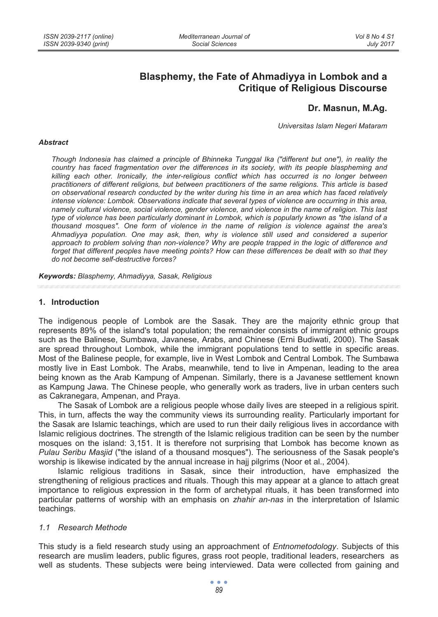# **Blasphemy, the Fate of Ahmadiyya in Lombok and a Critique of Religious Discourse**

## **Dr. Masnun, M.Ag.**

*Universitas Islam Negeri Mataram* 

#### *Abstract*

*Though Indonesia has claimed a principle of Bhinneka Tunggal Ika ("different but one"), in reality the country has faced fragmentation over the differences in its society, with its people blaspheming and killing each other. Ironically, the inter-religious conflict which has occurred is no longer between practitioners of different religions, but between practitioners of the same religions. This article is based on observational research conducted by the writer during his time in an area which has faced relatively intense violence: Lombok. Observations indicate that several types of violence are occurring in this area, namely cultural violence, social violence, gender violence, and violence in the name of religion. This last type of violence has been particularly dominant in Lombok, which is popularly known as "the island of a thousand mosques". One form of violence in the name of religion is violence against the area's Ahmadiyya population. One may ask, then, why is violence still used and considered a superior approach to problem solving than non-violence? Why are people trapped in the logic of difference and*  forget that different peoples have meeting points? How can these differences be dealt with so that they *do not become self-destructive forces?* 

*Keywords: Blasphemy, Ahmadiyya, Sasak, Religious* 

#### **1. Introduction**

The indigenous people of Lombok are the Sasak. They are the majority ethnic group that represents 89% of the island's total population; the remainder consists of immigrant ethnic groups such as the Balinese, Sumbawa, Javanese, Arabs, and Chinese (Erni Budiwati, 2000). The Sasak are spread throughout Lombok, while the immigrant populations tend to settle in specific areas. Most of the Balinese people, for example, live in West Lombok and Central Lombok. The Sumbawa mostly live in East Lombok. The Arabs, meanwhile, tend to live in Ampenan, leading to the area being known as the Arab Kampung of Ampenan. Similarly, there is a Javanese settlement known as Kampung Jawa. The Chinese people, who generally work as traders, live in urban centers such as Cakranegara, Ampenan, and Praya.

The Sasak of Lombok are a religious people whose daily lives are steeped in a religious spirit. This, in turn, affects the way the community views its surrounding reality. Particularly important for the Sasak are Islamic teachings, which are used to run their daily religious lives in accordance with Islamic religious doctrines. The strength of the Islamic religious tradition can be seen by the number mosques on the island: 3,151. It is therefore not surprising that Lombok has become known as *Pulau Seribu Masjid* ("the island of a thousand mosques"). The seriousness of the Sasak people's worship is likewise indicated by the annual increase in hajj pilgrims (Noor et al., 2004).

Islamic religious traditions in Sasak, since their introduction, have emphasized the strengthening of religious practices and rituals. Though this may appear at a glance to attach great importance to religious expression in the form of archetypal rituals, it has been transformed into particular patterns of worship with an emphasis on *zhahir an-nas* in the interpretation of Islamic teachings.

#### *1.1 Research Methode*

This study is a field research study using an approachment of *Entnometodology*. Subjects of this research are muslim leaders, public figures, grass root people, traditional leaders, researchers as well as students. These subjects were being interviewed. Data were collected from gaining and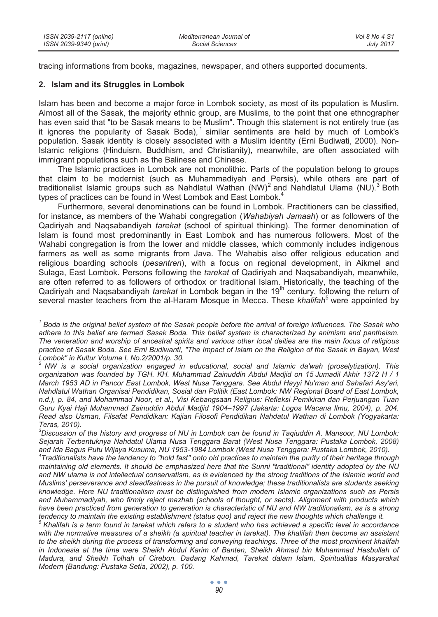tracing informations from books, magazines, newspaper, and others supported documents.

#### **2. Islam and its Struggles in Lombok**

Islam has been and become a major force in Lombok society, as most of its population is Muslim. Almost all of the Sasak, the majority ethnic group, are Muslims, to the point that one ethnographer has even said that "to be Sasak means to be Muslim". Though this statement is not entirely true (as it ignores the popularity of Sasak Boda),<sup>1</sup> similar sentiments are held by much of Lombok's population. Sasak identity is closely associated with a Muslim identity (Erni Budiwati, 2000). Non-Islamic religions (Hinduism, Buddhism, and Christianity), meanwhile, are often associated with immigrant populations such as the Balinese and Chinese.

The Islamic practices in Lombok are not monolithic. Parts of the population belong to groups that claim to be modernist (such as Muhammadiyah and Persis), while others are part of traditionalist Islamic groups such as Nahdlatul Wathan (NW)<sup>2</sup> and Nahdlatul Ulama (NU).<sup>3</sup> Both types of practices can be found in West Lombok and East Lombok.

Furthermore, several denominations can be found in Lombok. Practitioners can be classified, for instance, as members of the Wahabi congregation (*Wahabiyah Jamaah*) or as followers of the Qadiriyah and Naqsabandiyah *tarekat* (school of spiritual thinking). The former denomination of Islam is found most predominantly in East Lombok and has numerous followers. Most of the Wahabi congregation is from the lower and middle classes, which commonly includes indigenous farmers as well as some migrants from Java. The Wahabis also offer religious education and religious boarding schools (*pesantren*), with a focus on regional development, in Aikmel and Sulaga, East Lombok. Persons following the *tarekat* of Qadiriyah and Naqsabandiyah, meanwhile, are often referred to as followers of orthodox or traditional Islam. Historically, the teaching of the Qadiriyah and Naqsabandiyah *tarekat* in Lombok began in the 19th century, following the return of several master teachers from the al-Haram Mosque in Mecca. These *khalifah*<sup>5</sup> were appointed by

*<sup>1</sup> Boda is the original belief system of the Sasak people before the arrival of foreign influences. The Sasak who adhere to this belief are termed Sasak Boda. This belief system is characterized by animism and pantheism. The veneration and worship of ancestral spirits and various other local deities are the main focus of religious practice of Sasak Boda. See Erni Budiwanti, "The Impact of Islam on the Religion of the Sasak in Bayan, West Lombok" in Kultur Volume I, No.2/2001/p. 30.* 

*<sup>2</sup> NW is a social organization engaged in educational, social and Islamic da'wah (proselytization). This organization was founded by TGH. KH. Muhammad Zainuddin Abdul Madjid on 15 Jumadil Akhir 1372 H / 1 March 1953 AD in Pancor East Lombok, West Nusa Tenggara. See Abdul Hayyi Nu'man and Sahafari Asy'ari, Nahdlatul Wathan Organisai Pendidikan, Sosial dan Politik (East Lombok: NW Regional Board of East Lombok, n.d.), p. 84, and Mohammad Noor, et al., Visi Kebangsaan Religius: Refleksi Pemikiran dan Perjuangan Tuan Guru Kyai Haji Muhammad Zainuddin Abdul Madjid 1904–1997 (Jakarta: Logos Wacana Ilmu, 2004), p. 204. Read also Usman, Filsafat Pendidikan: Kajian Filosofi Pendidikan Nahdatul Wathan di Lombok (Yogyakarta: Teras, 2010).* 

*<sup>3</sup> Discussion of the history and progress of NU in Lombok can be found in Taqiuddin A. Mansoor, NU Lombok: Sejarah Terbentuknya Nahdatul Ulama Nusa Tenggara Barat (West Nusa Tenggara: Pustaka Lombok, 2008) and Ida Bagus Putu Wijaya Kusuma, NU 1953-1984 Lombok (West Nusa Tenggara: Pustaka Lombok, 2010).* 

*<sup>4</sup> Traditionalists have the tendency to "hold fast" onto old practices to maintain the purity of their heritage through maintaining old elements. It should be emphasized here that the Sunni "traditional" identity adopted by the NU*  and NW ulama is not intellectual conservatism, as is evidenced by the strong traditions of the Islamic world and *Muslims' perseverance and steadfastness in the pursuit of knowledge; these traditionalists are students seeking knowledge. Here NU traditionalism must be distinguished from modern Islamic organizations such as Persis and Muhammadiyah, who firmly reject mazhab (schools of thought, or sects). Alignment with products which*  have been practiced from generation to generation is characteristic of NU and NW traditionalism, as is a strong *tendency to maintain the existing establishment (status quo) and reject the new thoughts which challenge it.* 

<sup>&</sup>lt;sup>5</sup> Khalifah is a term found in tarekat which refers to a student who has achieved a specific level in accordance with the normative measures of a sheikh (a spiritual teacher in tarekat). The khalifah then become an assistant *to the sheikh during the process of transforming and conveying teachings. Three of the most prominent khalifah in Indonesia at the time were Sheikh Abdul Karim of Banten, Sheikh Ahmad bin Muhammad Hasbullah of Madura, and Sheikh Tolhah of Cirebon. Dadang Kahmad, Tarekat dalam Islam, Spiritualitas Masyarakat Modern (Bandung: Pustaka Setia, 2002), p. 100.*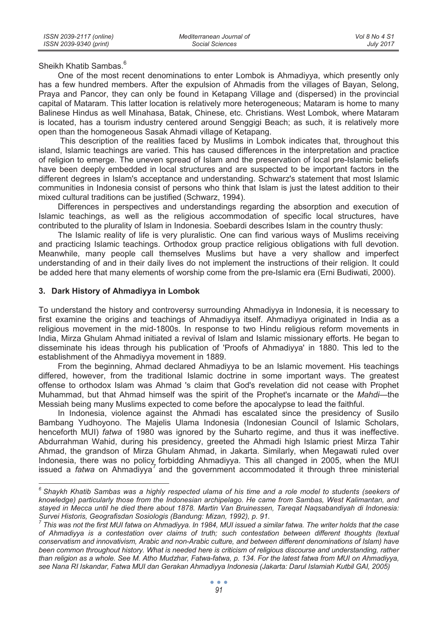Sheikh Khatib Sambas.<sup>6</sup>

One of the most recent denominations to enter Lombok is Ahmadiyya, which presently only has a few hundred members. After the expulsion of Ahmadis from the villages of Bayan, Selong, Praya and Pancor, they can only be found in Ketapang Village and (dispersed) in the provincial capital of Mataram. This latter location is relatively more heterogeneous; Mataram is home to many Balinese Hindus as well Minahasa, Batak, Chinese, etc. Christians. West Lombok, where Mataram is located, has a tourism industry centered around Senggigi Beach; as such, it is relatively more open than the homogeneous Sasak Ahmadi village of Ketapang.

 This description of the realities faced by Muslims in Lombok indicates that, throughout this island, Islamic teachings are varied. This has caused differences in the interpretation and practice of religion to emerge. The uneven spread of Islam and the preservation of local pre-Islamic beliefs have been deeply embedded in local structures and are suspected to be important factors in the different degrees in Islam's acceptance and understanding. Schwarz's statement that most Islamic communities in Indonesia consist of persons who think that Islam is just the latest addition to their mixed cultural traditions can be justified (Schwarz, 1994).

Differences in perspectives and understandings regarding the absorption and execution of Islamic teachings, as well as the religious accommodation of specific local structures, have contributed to the plurality of Islam in Indonesia. Soebardi describes Islam in the country thusly:

The Islamic reality of life is very pluralistic. One can find various ways of Muslims receiving and practicing Islamic teachings. Orthodox group practice religious obligations with full devotion. Meanwhile, many people call themselves Muslims but have a very shallow and imperfect understanding of and in their daily lives do not implement the instructions of their religion. It could be added here that many elements of worship come from the pre-Islamic era (Erni Budiwati, 2000).

#### **3. Dark History of Ahmadiyya in Lombok**

To understand the history and controversy surrounding Ahmadiyya in Indonesia, it is necessary to first examine the origins and teachings of Ahmadiyya itself. Ahmadiyya originated in India as a religious movement in the mid-1800s. In response to two Hindu religious reform movements in India, Mirza Ghulam Ahmad initiated a revival of Islam and Islamic missionary efforts. He began to disseminate his ideas through his publication of 'Proofs of Ahmadiyya' in 1880. This led to the establishment of the Ahmadiyya movement in 1889.

From the beginning, Ahmad declared Ahmadiyya to be an Islamic movement. His teachings differed, however, from the traditional Islamic doctrine in some important ways. The greatest offense to orthodox Islam was Ahmad 's claim that God's revelation did not cease with Prophet Muhammad, but that Ahmad himself was the spirit of the Prophet's incarnate or the *Mahdi*—the Messiah being many Muslims expected to come before the apocalypse to lead the faithful.

In Indonesia, violence against the Ahmadi has escalated since the presidency of Susilo Bambang Yudhoyono. The Majelis Ulama Indonesia (Indonesian Council of Islamic Scholars, henceforth MUI) *fatwa* of 1980 was ignored by the Suharto regime, and thus it was ineffective. Abdurrahman Wahid, during his presidency, greeted the Ahmadi high Islamic priest Mirza Tahir Ahmad, the grandson of Mirza Ghulam Ahmad, in Jakarta. Similarly, when Megawati ruled over Indonesia, there was no policy forbidding Ahmadiyya. This all changed in 2005, when the MUI issued a *fatwa* on Ahmadiyya<sup>7</sup> and the government accommodated it through three ministerial

 *6 Shaykh Khatib Sambas was a highly respected ulama of his time and a role model to students (seekers of knowledge) particularly those from the Indonesian archipelago. He came from Sambas, West Kalimantan, and stayed in Mecca until he died there about 1878. Martin Van Bruinessen, Tareqat Naqsabandiyah di Indonesia: Survei Historis, Geografisdan Sosiologis (Bandung: Mizan, 1992), p. 91.* 

*<sup>7</sup> This was not the first MUI fatwa on Ahmadiyya. In 1984, MUI issued a similar fatwa. The writer holds that the case of Ahmadiyya is a contestation over claims of truth; such contestation between different thoughts (textual conservatism and innovativism, Arabic and non-Arabic culture, and between different denominations of Islam) have been common throughout history. What is needed here is criticism of religious discourse and understanding, rather than religion as a whole. See M. Atho Mudzhar, Fatwa-fatwa, p. 134. For the latest fatwa from MUI on Ahmadiyya, see Nana RI Iskandar, Fatwa MUI dan Gerakan Ahmadiyya Indonesia (Jakarta: Darul Islamiah Kutbil GAI, 2005)*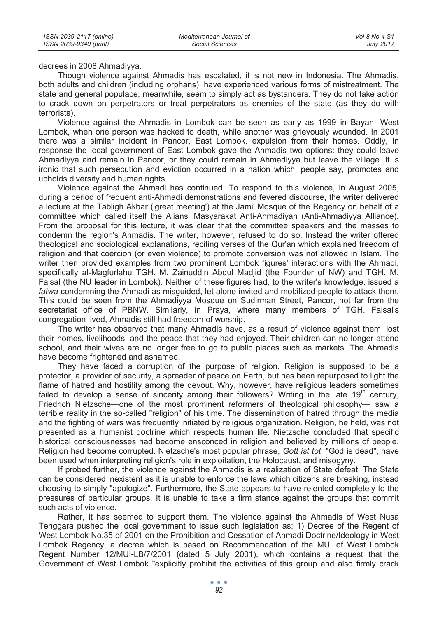decrees in 2008 Ahmadiyya.

Though violence against Ahmadis has escalated, it is not new in Indonesia. The Ahmadis, both adults and children (including orphans), have experienced various forms of mistreatment. The state and general populace, meanwhile, seem to simply act as bystanders. They do not take action to crack down on perpetrators or treat perpetrators as enemies of the state (as they do with terrorists).

Violence against the Ahmadis in Lombok can be seen as early as 1999 in Bayan, West Lombok, when one person was hacked to death, while another was grievously wounded. In 2001 there was a similar incident in Pancor, East Lombok. expulsion from their homes. Oddly, in response the local government of East Lombok gave the Ahmadis two options: they could leave Ahmadiyya and remain in Pancor, or they could remain in Ahmadiyya but leave the village. It is ironic that such persecution and eviction occurred in a nation which, people say, promotes and upholds diversity and human rights.

Violence against the Ahmadi has continued. To respond to this violence, in August 2005, during a period of frequent anti-Ahmadi demonstrations and fevered discourse, the writer delivered a lecture at the Tabligh Akbar ('great meeting') at the Jami' Mosque of the Regency on behalf of a committee which called itself the Aliansi Masyarakat Anti-Ahmadiyah (Anti-Ahmadiyya Alliance). From the proposal for this lecture, it was clear that the committee speakers and the masses to condemn the region's Ahmadis. The writer, however, refused to do so. Instead the writer offered theological and sociological explanations, reciting verses of the Qur'an which explained freedom of religion and that coercion (or even violence) to promote conversion was not allowed in Islam. The writer then provided examples from two prominent Lombok figures' interactions with the Ahmadi, specifically al-Magfurlahu TGH. M. Zainuddin Abdul Madjid (the Founder of NW) and TGH. M. Faisal (the NU leader in Lombok). Neither of these figures had, to the writer's knowledge, issued a *fatwa* condemning the Ahmadi as misguided, let alone invited and mobilized people to attack them. This could be seen from the Ahmadiyya Mosque on Sudirman Street, Pancor, not far from the secretariat office of PBNW. Similarly, in Praya, where many members of TGH. Faisal's congregation lived, Ahmadis still had freedom of worship.

The writer has observed that many Ahmadis have, as a result of violence against them, lost their homes, livelihoods, and the peace that they had enjoyed. Their children can no longer attend school, and their wives are no longer free to go to public places such as markets. The Ahmadis have become frightened and ashamed.

They have faced a corruption of the purpose of religion. Religion is supposed to be a protector, a provider of security, a spreader of peace on Earth, but has been repurposed to light the flame of hatred and hostility among the devout. Why, however, have religious leaders sometimes failed to develop a sense of sincerity among their followers? Writing in the late  $19<sup>th</sup>$  century, Friedrich Nietzsche—one of the most prominent reformers of theological philosophy— saw a terrible reality in the so-called "religion" of his time. The dissemination of hatred through the media and the fighting of wars was frequently initiated by religious organization. Religion, he held, was not presented as a humanist doctrine which respects human life. Nietzsche concluded that specific historical consciousnesses had become ensconced in religion and believed by millions of people. Religion had become corrupted. Nietzsche's most popular phrase, *Gott ist tot*, "God is dead", have been used when interpreting religion's role in exploitation, the Holocaust, and misogyny.

If probed further, the violence against the Ahmadis is a realization of State defeat. The State can be considered inexistent as it is unable to enforce the laws which citizens are breaking, instead choosing to simply "apologize". Furthermore, the State appears to have relented completely to the pressures of particular groups. It is unable to take a firm stance against the groups that commit such acts of violence.

Rather, it has seemed to support them. The violence against the Ahmadis of West Nusa Tenggara pushed the local government to issue such legislation as: 1) Decree of the Regent of West Lombok No.35 of 2001 on the Prohibition and Cessation of Ahmadi Doctrine/Ideology in West Lombok Regency, a decree which is based on Recommendation of the MUI of West Lombok Regent Number 12/MUI-LB/7/2001 (dated 5 July 2001), which contains a request that the Government of West Lombok "explicitly prohibit the activities of this group and also firmly crack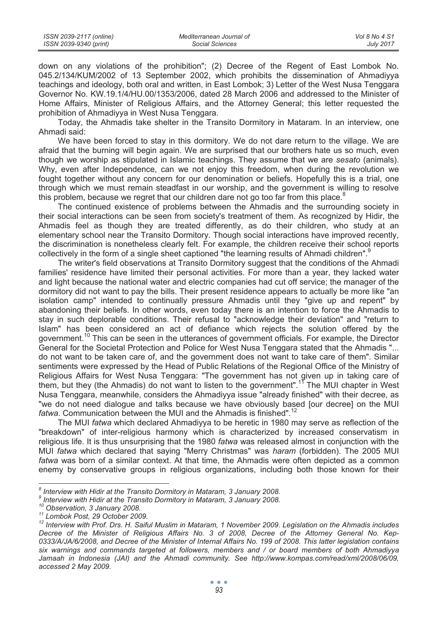| ISSN 2039-2117 (online) | Mediterranean Journal of | Vol 8 No 4 S1 |
|-------------------------|--------------------------|---------------|
| ISSN 2039-9340 (print)  | Social Sciences          | July 2017     |

down on any violations of the prohibition"; (2) Decree of the Regent of East Lombok No. 045.2/134/KUM/2002 of 13 September 2002, which prohibits the dissemination of Ahmadiyya teachings and ideology, both oral and written, in East Lombok; 3) Letter of the West Nusa Tenggara Governor No. KW.19.1/4/HU.00/1353/2006, dated 28 March 2006 and addressed to the Minister of Home Affairs, Minister of Religious Affairs, and the Attorney General; this letter requested the prohibition of Ahmadiyya in West Nusa Tenggara.

Today, the Ahmadis take shelter in the Transito Dormitory in Mataram. In an interview, one Ahmadi said:

We have been forced to stay in this dormitory. We do not dare return to the village. We are afraid that the burning will begin again. We are surprised that our brothers hate us so much, even though we worship as stipulated in Islamic teachings. They assume that we are *sesato* (animals). Why, even after Independence, can we not enjoy this freedom, when during the revolution we fought together without any concern for our denomination or beliefs. Hopefully this is a trial, one through which we must remain steadfast in our worship, and the government is willing to resolve this problem, because we regret that our children dare not go too far from this place. $8$ 

The continued existence of problems between the Ahmadis and the surrounding society in their social interactions can be seen from society's treatment of them. As recognized by Hidir, the Ahmadis feel as though they are treated differently, as do their children, who study at an elementary school near the Transito Dormitory. Though social interactions have improved recently, the discrimination is nonetheless clearly felt. For example, the children receive their school reports collectively in the form of a single sheet captioned "the learning results of Ahmadi children".<sup>9</sup>

The writer's field observations at Transito Dormitory suggest that the conditions of the Ahmadi families' residence have limited their personal activities. For more than a year, they lacked water and light because the national water and electric companies had cut off service; the manager of the dormitory did not want to pay the bills. Their present residence appears to actually be more like "an isolation camp" intended to continually pressure Ahmadis until they "give up and repent" by abandoning their beliefs. In other words, even today there is an intention to force the Ahmadis to stay in such deplorable conditions. Their refusal to "acknowledge their deviation" and "return to Islam" has been considered an act of defiance which rejects the solution offered by the government.<sup>10</sup> This can be seen in the utterances of government officials. For example, the Director General for the Societal Protection and Police for West Nusa Tenggara stated that the Ahmadis "... do not want to be taken care of, and the government does not want to take care of them". Similar sentiments were expressed by the Head of Public Relations of the Regional Office of the Ministry of Religious Affairs for West Nusa Tenggara: "The government has not given up in taking care of them, but they (the Ahmadis) do not want to listen to the government".<sup>17</sup> The MUI chapter in West Nusa Tenggara, meanwhile, considers the Ahmadiyya issue "already finished" with their decree, as "we do not need dialogue and talks because we have obviously based [our decree] on the MUI *fatwa*. Communication between the MUI and the Ahmadis is finished".<sup>12</sup>

The MUI *fatwa* which declared Ahmadiyya to be heretic in 1980 may serve as reflection of the "breakdown" of inter-religious harmony which is characterized by increased conservatism in religious life. It is thus unsurprising that the 1980 *fatwa* was released almost in conjunction with the MUI *fatwa* which declared that saying "Merry Christmas" was *haram* (forbidden). The 2005 MUI *fatwa* was born of a similar context. At that time, the Ahmadis were often depicted as a common enemy by conservative groups in religious organizations, including both those known for their

erman *a Interview with Hidir at the Transito Dormitory in Mataram, 3 January 2008.<br>A Interview with Hidir at the Transito Dormitory in Mataram, 3 January 2008.* 

*<sup>9</sup> Interview with Hidir at the Transito Dormitory in Mataram, 3 January 2008.* 

<sup>&</sup>lt;sup>10</sup> Observation, 3 January 2008.<br><sup>11</sup> Lombok Post, 29 October 2009.<br><sup>12</sup> Interview with Prof. Drs. H. Saiful Muslim in Mataram, 1 November 2009. Legislation on the Ahmadis includes *Decree of the Minister of Religious Affairs No. 3 of 2008, Decree of the Attorney General No. Kep-0333/A/JA/6/2008, and Decree of the Minister of Internal Affairs No. 199 of 2008. This latter legislation contains six warnings and commands targeted at followers, members and / or board members of both Ahmadiyya Jamaah in Indonesia (JAI) and the Ahmadi community. See http://www.kompas.com/read/xml/2008/06/09, accessed 2 May 2009.*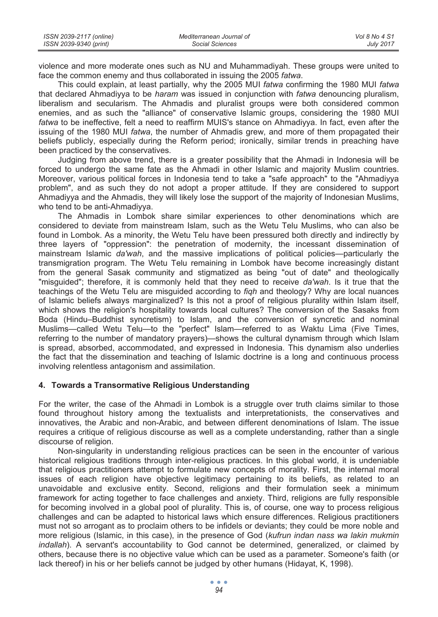| ISSN 2039-2117 (online) | Mediterranean Journal of | Vol 8 No 4 S1    |
|-------------------------|--------------------------|------------------|
| ISSN 2039-9340 (print)  | Social Sciences          | <b>July 2017</b> |

violence and more moderate ones such as NU and Muhammadiyah. These groups were united to face the common enemy and thus collaborated in issuing the 2005 *fatwa*.

This could explain, at least partially, why the 2005 MUI *fatwa* confirming the 1980 MUI *fatwa* that declared Ahmadiyya to be *haram* was issued in conjunction with *fatwa* denouncing pluralism, liberalism and secularism. The Ahmadis and pluralist groups were both considered common enemies, and as such the "alliance" of conservative Islamic groups, considering the 1980 MUI *fatwa* to be ineffective, felt a need to reaffirm MUIS's stance on Ahmadiyya. In fact, even after the issuing of the 1980 MUI *fatwa*, the number of Ahmadis grew, and more of them propagated their beliefs publicly, especially during the Reform period; ironically, similar trends in preaching have been practiced by the conservatives.

Judging from above trend, there is a greater possibility that the Ahmadi in Indonesia will be forced to undergo the same fate as the Ahmadi in other Islamic and majority Muslim countries. Moreover, various political forces in Indonesia tend to take a "safe approach" to the "Ahmadiyya problem", and as such they do not adopt a proper attitude. If they are considered to support Ahmadiyya and the Ahmadis, they will likely lose the support of the majority of Indonesian Muslims, who tend to be anti-Ahmadiyya.

The Ahmadis in Lombok share similar experiences to other denominations which are considered to deviate from mainstream Islam, such as the Wetu Telu Muslims, who can also be found in Lombok. As a minority, the Wetu Telu have been pressured both directly and indirectly by three layers of "oppression": the penetration of modernity, the incessant dissemination of mainstream Islamic *da'wah*, and the massive implications of political policies—particularly the transmigration program. The Wetu Telu remaining in Lombok have become increasingly distant from the general Sasak community and stigmatized as being "out of date" and theologically "misguided"; therefore, it is commonly held that they need to receive *da'wah*. Is it true that the teachings of the Wetu Telu are misguided according to *fiqh* and theology? Why are local nuances of Islamic beliefs always marginalized? Is this not a proof of religious plurality within Islam itself, which shows the religion's hospitality towards local cultures? The conversion of the Sasaks from Boda (Hindu–Buddhist syncretism) to Islam, and the conversion of syncretic and nominal Muslims—called Wetu Telu—to the "perfect" Islam—referred to as Waktu Lima (Five Times, referring to the number of mandatory prayers)—shows the cultural dynamism through which Islam is spread, absorbed, accommodated, and expressed in Indonesia. This dynamism also underlies the fact that the dissemination and teaching of Islamic doctrine is a long and continuous process involving relentless antagonism and assimilation.

#### **4. Towards a Transormative Religious Understanding**

For the writer, the case of the Ahmadi in Lombok is a struggle over truth claims similar to those found throughout history among the textualists and interpretationists, the conservatives and innovatives, the Arabic and non-Arabic, and between different denominations of Islam. The issue requires a critique of religious discourse as well as a complete understanding, rather than a single discourse of religion.

Non-singularity in understanding religious practices can be seen in the encounter of various historical religious traditions through inter-religious practices. In this global world, it is undeniable that religious practitioners attempt to formulate new concepts of morality. First, the internal moral issues of each religion have objective legitimacy pertaining to its beliefs, as related to an unavoidable and exclusive entity. Second, religions and their formulation seek a minimum framework for acting together to face challenges and anxiety. Third, religions are fully responsible for becoming involved in a global pool of plurality. This is, of course, one way to process religious challenges and can be adapted to historical laws which ensure differences. Religious practitioners must not so arrogant as to proclaim others to be infidels or deviants; they could be more noble and more religious (Islamic, in this case), in the presence of God (*kufrun indan nass wa lakin mukmin indallah*). A servant's accountability to God cannot be determined, generalized, or claimed by others, because there is no objective value which can be used as a parameter. Someone's faith (or lack thereof) in his or her beliefs cannot be judged by other humans (Hidayat, K, 1998).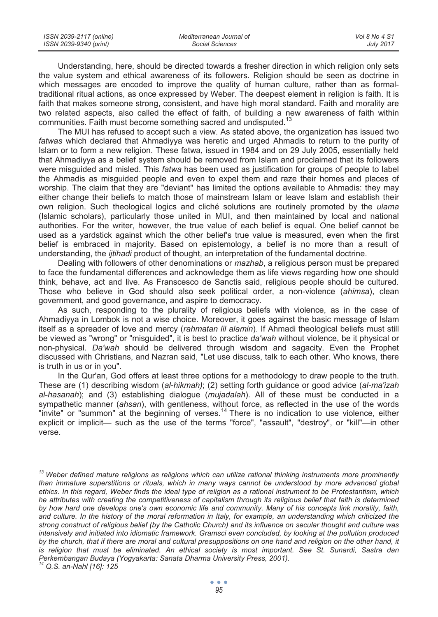| ISSN 2039-2117 (online) | Mediterranean Journal of | Vol 8 No 4 S1    |
|-------------------------|--------------------------|------------------|
| ISSN 2039-9340 (print)  | Social Sciences          | <b>July 2017</b> |

Understanding, here, should be directed towards a fresher direction in which religion only sets the value system and ethical awareness of its followers. Religion should be seen as doctrine in which messages are encoded to improve the quality of human culture, rather than as formaltraditional ritual actions, as once expressed by Weber. The deepest element in religion is faith. It is faith that makes someone strong, consistent, and have high moral standard. Faith and morality are two related aspects, also called the effect of faith, of building a new awareness of faith within communities. Faith must become something sacred and undisputed.<sup>13</sup>

The MUI has refused to accept such a view. As stated above, the organization has issued two *fatwas* which declared that Ahmadiyya was heretic and urged Ahmadis to return to the purity of Islam or to form a new religion. These fatwa, issued in 1984 and on 29 July 2005, essentially held that Ahmadiyya as a belief system should be removed from Islam and proclaimed that its followers were misguided and misled. This *fatwa* has been used as justification for groups of people to label the Ahmadis as misguided people and even to expel them and raze their homes and places of worship. The claim that they are "deviant" has limited the options available to Ahmadis: they may either change their beliefs to match those of mainstream Islam or leave Islam and establish their own religion. Such theological logics and cliché solutions are routinely promoted by the *ulama* (Islamic scholars), particularly those united in MUI, and then maintained by local and national authorities. For the writer, however, the true value of each belief is equal. One belief cannot be used as a yardstick against which the other belief's true value is measured, even when the first belief is embraced in majority. Based on epistemology, a belief is no more than a result of understanding, the *ijtihadi* product of thought, an interpretation of the fundamental doctrine.

Dealing with followers of other denominations or *mazhab*, a religious person must be prepared to face the fundamental differences and acknowledge them as life views regarding how one should think, behave, act and live. As Franscesco de Sanctis said, religious people should be cultured. Those who believe in God should also seek political order, a non-violence (*ahimsa*), clean government, and good governance, and aspire to democracy.

As such, responding to the plurality of religious beliefs with violence, as in the case of Ahmadiyya in Lombok is not a wise choice. Moreover, it goes against the basic message of Islam itself as a spreader of love and mercy (*rahmatan lil alamin*). If Ahmadi theological beliefs must still be viewed as "wrong" or "misguided", it is best to practice *da'wah* without violence, be it physical or non-physical. *Da'wah* should be delivered through wisdom and sagacity. Even the Prophet discussed with Christians, and Nazran said, "Let use discuss, talk to each other. Who knows, there is truth in us or in you".

In the Qur'an, God offers at least three options for a methodology to draw people to the truth. These are (1) describing wisdom (*al-hikmah)*; (2) setting forth guidance or good advice (*al-ma'izah al-hasanah*); and (3) establishing dialogue (*mujadalah*). All of these must be conducted in a sympathetic manner (*ahsan*), with gentleness, without force, as reflected in the use of the words "invite" or "summon" at the beginning of verses.<sup>14</sup> There is no indication to use violence, either explicit or implicit— such as the use of the terms "force", "assault", "destroy", or "kill"—in other verse.

*<sup>13</sup> Weber defined mature religions as religions which can utilize rational thinking instruments more prominently than immature superstitions or rituals, which in many ways cannot be understood by more advanced global ethics. In this regard, Weber finds the ideal type of religion as a rational instrument to be Protestantism, which he attributes with creating the competitiveness of capitalism through its religious belief that faith is determined by how hard one develops one's own economic life and community. Many of his concepts link morality, faith,*  and culture. In the history of the moral reformation in Italy, for example, an understanding which criticized the *strong construct of religious belief (by the Catholic Church) and its influence on secular thought and culture was intensively and initiated into idiomatic framework. Gramsci even concluded, by looking at the pollution produced by the church, that if there are moral and cultural presuppositions on one hand and religion on the other hand, it*  is religion that must be eliminated. An ethical society is most important. See St. Sunardi, Sastra dan *Perkembangan Budaya (Yogyakarta: Sanata Dharma University Press, 2001).* 

*<sup>14</sup> Q.S. an-Nahl [16]: 125*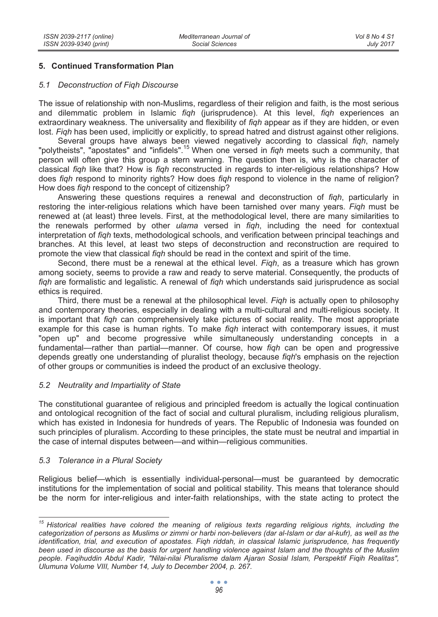## **5. Continued Transformation Plan**

#### *5.1 Deconstruction of Fiqh Discourse*

The issue of relationship with non-Muslims, regardless of their religion and faith, is the most serious and dilemmatic problem in Islamic *fiqh* (jurisprudence). At this level, *fiqh* experiences an extraordinary weakness. The universality and flexibility of *fiqh* appear as if they are hidden, or even lost. *Fiqh* has been used, implicitly or explicitly, to spread hatred and distrust against other religions.

Several groups have always been viewed negatively according to classical *fiqh*, namely "polytheists", "apostates" and "infidels".15 When one versed in *fiqh* meets such a community, that person will often give this group a stern warning. The question then is, why is the character of classical *fiqh* like that? How is *fiqh* reconstructed in regards to inter-religious relationships? How does *fiqh* respond to minority rights? How does *fiqh* respond to violence in the name of religion? How does *fiqh* respond to the concept of citizenship?

Answering these questions requires a renewal and deconstruction of *fiqh*, particularly in restoring the inter-religious relations which have been tarnished over many years. *Fiqh* must be renewed at (at least) three levels. First, at the methodological level, there are many similarities to the renewals performed by other *ulama* versed in *fiqh*, including the need for contextual interpretation of *fiqh* texts, methodological schools, and verification between principal teachings and branches. At this level, at least two steps of deconstruction and reconstruction are required to promote the view that classical *fiqh* should be read in the context and spirit of the time.

Second, there must be a renewal at the ethical level. *Fiqh*, as a treasure which has grown among society, seems to provide a raw and ready to serve material. Consequently, the products of *fiqh* are formalistic and legalistic. A renewal of *fiqh* which understands said jurisprudence as social ethics is required.

Third, there must be a renewal at the philosophical level. *Fiqh* is actually open to philosophy and contemporary theories, especially in dealing with a multi-cultural and multi-religious society. It is important that *fiqh* can comprehensively take pictures of social reality. The most appropriate example for this case is human rights. To make *fiqh* interact with contemporary issues, it must "open up" and become progressive while simultaneously understanding concepts in a fundamental—rather than partial—manner. Of course, how *fiqh* can be open and progressive depends greatly one understanding of pluralist theology, because *fiqh*'s emphasis on the rejection of other groups or communities is indeed the product of an exclusive theology.

## *5.2 Neutrality and Impartiality of State*

The constitutional guarantee of religious and principled freedom is actually the logical continuation and ontological recognition of the fact of social and cultural pluralism, including religious pluralism, which has existed in Indonesia for hundreds of years. The Republic of Indonesia was founded on such principles of pluralism. According to these principles, the state must be neutral and impartial in the case of internal disputes between—and within—religious communities.

## *5.3 Tolerance in a Plural Society*

Religious belief—which is essentially individual-personal—must be guaranteed by democratic institutions for the implementation of social and political stability. This means that tolerance should be the norm for inter-religious and inter-faith relationships, with the state acting to protect the

*<sup>15</sup> Historical realities have colored the meaning of religious texts regarding religious rights, including the categorization of persons as Muslims or zimmi or harbi non-believers (dar al-Islam or dar al-kufr), as well as the identification, trial, and execution of apostates. Figh riddah, in classical Islamic jurisprudence, has frequently been used in discourse as the basis for urgent handling violence against Islam and the thoughts of the Muslim people. Faqihuddin Abdul Kadir, "Nilai-nilai Pluralisme dalam Ajaran Sosial Islam, Perspektif Fiqih Realitas", Ulumuna Volume VIII, Number 14, July to December 2004, p. 267.*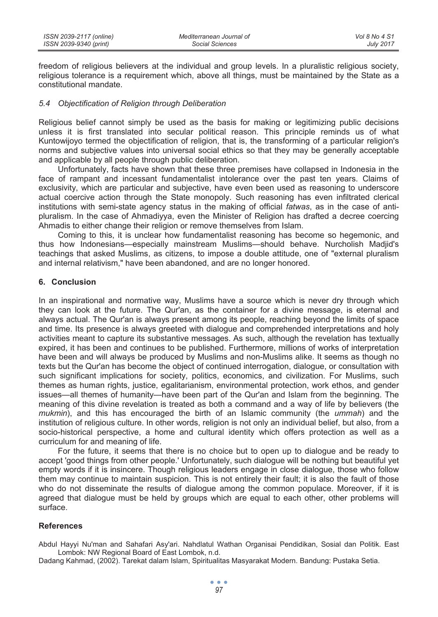| ISSN 2039-2117 (online) | Mediterranean Journal of | Vol 8 No 4 S1    |
|-------------------------|--------------------------|------------------|
| ISSN 2039-9340 (print)  | Social Sciences          | <b>July 2017</b> |

freedom of religious believers at the individual and group levels. In a pluralistic religious society, religious tolerance is a requirement which, above all things, must be maintained by the State as a constitutional mandate.

#### *5.4 Objectification of Religion through Deliberation*

Religious belief cannot simply be used as the basis for making or legitimizing public decisions unless it is first translated into secular political reason. This principle reminds us of what Kuntowijoyo termed the objectification of religion, that is, the transforming of a particular religion's norms and subjective values into universal social ethics so that they may be generally acceptable and applicable by all people through public deliberation.

Unfortunately, facts have shown that these three premises have collapsed in Indonesia in the face of rampant and incessant fundamentalist intolerance over the past ten years. Claims of exclusivity, which are particular and subjective, have even been used as reasoning to underscore actual coercive action through the State monopoly. Such reasoning has even infiltrated clerical institutions with semi-state agency status in the making of official *fatwas*, as in the case of antipluralism. In the case of Ahmadiyya, even the Minister of Religion has drafted a decree coercing Ahmadis to either change their religion or remove themselves from Islam.

Coming to this, it is unclear how fundamentalist reasoning has become so hegemonic, and thus how Indonesians—especially mainstream Muslims—should behave. Nurcholish Madjid's teachings that asked Muslims, as citizens, to impose a double attitude, one of "external pluralism and internal relativism," have been abandoned, and are no longer honored.

#### **6. Conclusion**

In an inspirational and normative way, Muslims have a source which is never dry through which they can look at the future. The Qur'an, as the container for a divine message, is eternal and always actual. The Qur'an is always present among its people, reaching beyond the limits of space and time. Its presence is always greeted with dialogue and comprehended interpretations and holy activities meant to capture its substantive messages. As such, although the revelation has textually expired, it has been and continues to be published. Furthermore, millions of works of interpretation have been and will always be produced by Muslims and non-Muslims alike. It seems as though no texts but the Qur'an has become the object of continued interrogation, dialogue, or consultation with such significant implications for society, politics, economics, and civilization. For Muslims, such themes as human rights, justice, egalitarianism, environmental protection, work ethos, and gender issues—all themes of humanity—have been part of the Qur'an and Islam from the beginning. The meaning of this divine revelation is treated as both a command and a way of life by believers (the *mukmin*), and this has encouraged the birth of an Islamic community (the *ummah*) and the institution of religious culture. In other words, religion is not only an individual belief, but also, from a socio-historical perspective, a home and cultural identity which offers protection as well as a curriculum for and meaning of life.

For the future, it seems that there is no choice but to open up to dialogue and be ready to accept 'good things from other people.' Unfortunately, such dialogue will be nothing but beautiful yet empty words if it is insincere. Though religious leaders engage in close dialogue, those who follow them may continue to maintain suspicion. This is not entirely their fault; it is also the fault of those who do not disseminate the results of dialogue among the common populace. Moreover, if it is agreed that dialogue must be held by groups which are equal to each other, other problems will surface.

### **References**

Abdul Hayyi Nu'man and Sahafari Asy'ari. Nahdlatul Wathan Organisai Pendidikan, Sosial dan Politik. East Lombok: NW Regional Board of East Lombok, n.d.

Dadang Kahmad, (2002). Tarekat dalam Islam, Spiritualitas Masyarakat Modern. Bandung: Pustaka Setia.